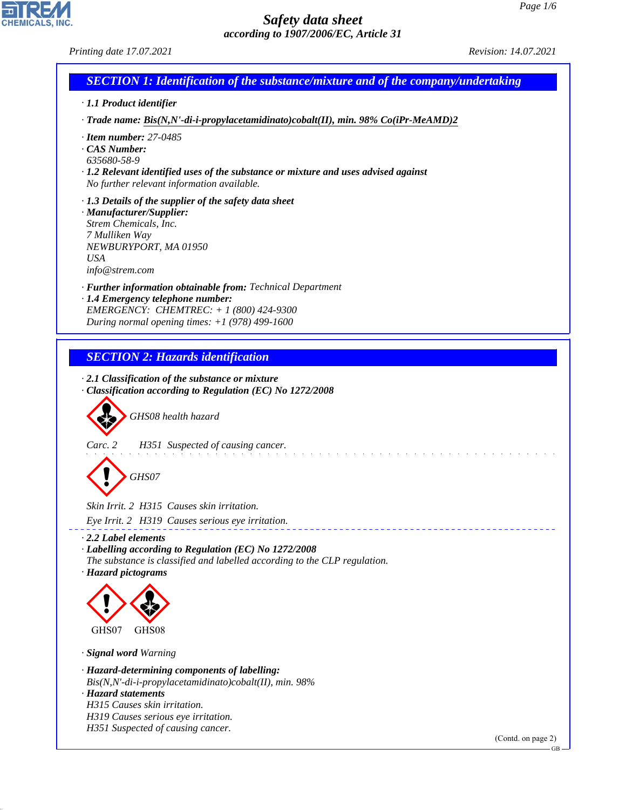

CHEMICALS, INC.

44.1.1

| <b>SECTION 1: Identification of the substance/mixture and of the company/undertaking</b>                                                                                                                                                                            |
|---------------------------------------------------------------------------------------------------------------------------------------------------------------------------------------------------------------------------------------------------------------------|
| · 1.1 Product identifier                                                                                                                                                                                                                                            |
| $\cdot$ Trade name: Bis(N,N'-di-i-propylacetamidinato)cobalt(II), min. 98% Co(iPr-MeAMD)2                                                                                                                                                                           |
| $\cdot$ Item number: 27-0485<br>$\cdot$ CAS Number:<br>635680-58-9<br>· 1.2 Relevant identified uses of the substance or mixture and uses advised against<br>No further relevant information available.                                                             |
| $\cdot$ 1.3 Details of the supplier of the safety data sheet<br>· Manufacturer/Supplier:<br>Strem Chemicals, Inc.<br>7 Mulliken Way<br>NEWBURYPORT, MA 01950<br><b>USA</b><br>info@strem.com                                                                        |
| · Further information obtainable from: Technical Department<br>· 1.4 Emergency telephone number:<br>EMERGENCY: CHEMTREC: + 1 (800) 424-9300<br>During normal opening times: $+1$ (978) 499-1600                                                                     |
| <b>SECTION 2: Hazards identification</b>                                                                                                                                                                                                                            |
| GHS08 health hazard<br>Carc. 2<br>H351 Suspected of causing cancer.                                                                                                                                                                                                 |
| GHS07                                                                                                                                                                                                                                                               |
| Skin Irrit. 2 H315 Causes skin irritation.                                                                                                                                                                                                                          |
| Eye Irrit. 2 H319 Causes serious eye irritation.                                                                                                                                                                                                                    |
| $\cdot$ 2.2 Label elements<br>· Labelling according to Regulation (EC) No 1272/2008<br>The substance is classified and labelled according to the CLP regulation.<br>· Hazard pictograms                                                                             |
| GHS07<br>GHS08                                                                                                                                                                                                                                                      |
|                                                                                                                                                                                                                                                                     |
| · Signal word Warning<br>· Hazard-determining components of labelling:<br>Bis(N,N'-di-i-propylacetamidinato)cobalt(II), min. 98%<br>· Hazard statements<br>H315 Causes skin irritation.<br>H319 Causes serious eye irritation.<br>H351 Suspected of causing cancer. |

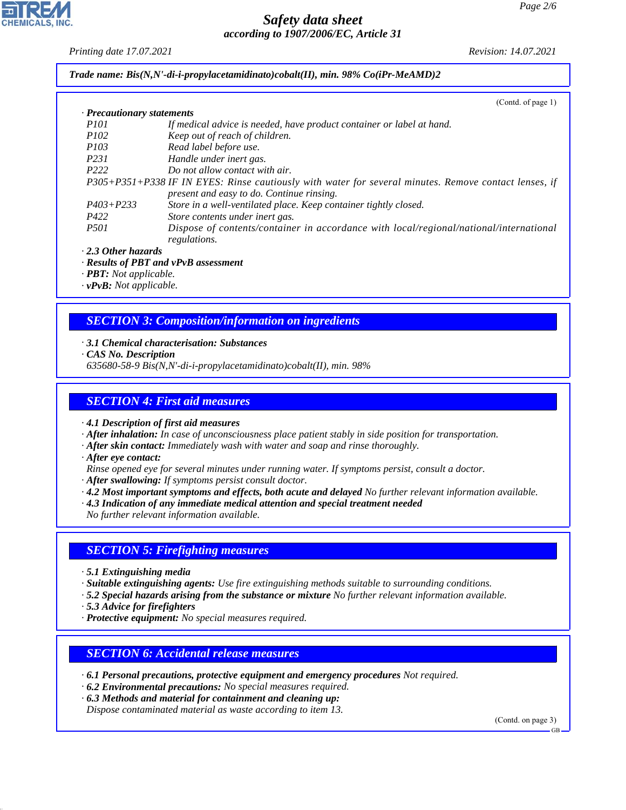*Printing date 17.07.2021 Revision: 14.07.2021*

*Trade name: Bis(N,N'-di-i-propylacetamidinato)cobalt(II), min. 98% Co(iPr-MeAMD)2*

|                            | (Cond. of page 1)                                                                                      |
|----------------------------|--------------------------------------------------------------------------------------------------------|
| · Precautionary statements |                                                                                                        |
| <i>P<sub>101</sub></i>     | If medical advice is needed, have product container or label at hand.                                  |
| <i>P102</i>                | Keep out of reach of children.                                                                         |
| <i>P103</i>                | Read label before use.                                                                                 |
| P <sub>231</sub>           | Handle under inert gas.                                                                                |
| P <sub>222</sub>           | Do not allow contact with air.                                                                         |
|                            | P305+P351+P338 IF IN EYES: Rinse cautiously with water for several minutes. Remove contact lenses, if  |
|                            | present and easy to do. Continue rinsing.                                                              |
| $P403 + P233$              | Store in a well-ventilated place. Keep container tightly closed.                                       |
| P422                       | Store contents under inert gas.                                                                        |
| <i>P501</i>                | Dispose of contents/container in accordance with local/regional/national/international<br>regulations. |
| $2.2.01 \pm 1.001$         |                                                                                                        |

*· 2.3 Other hazards*

*· Results of PBT and vPvB assessment*

*· PBT: Not applicable.*

*· vPvB: Not applicable.*

## *SECTION 3: Composition/information on ingredients*

#### *· 3.1 Chemical characterisation: Substances*

*· CAS No. Description*

*635680-58-9 Bis(N,N'-di-i-propylacetamidinato)cobalt(II), min. 98%*

## *SECTION 4: First aid measures*

*· 4.1 Description of first aid measures*

- *· After inhalation: In case of unconsciousness place patient stably in side position for transportation.*
- *· After skin contact: Immediately wash with water and soap and rinse thoroughly.*
- *· After eye contact:*
- *Rinse opened eye for several minutes under running water. If symptoms persist, consult a doctor.*
- *· After swallowing: If symptoms persist consult doctor.*
- *· 4.2 Most important symptoms and effects, both acute and delayed No further relevant information available.*
- *· 4.3 Indication of any immediate medical attention and special treatment needed*

*No further relevant information available.*

## *SECTION 5: Firefighting measures*

- *· 5.1 Extinguishing media*
- *· Suitable extinguishing agents: Use fire extinguishing methods suitable to surrounding conditions.*
- *· 5.2 Special hazards arising from the substance or mixture No further relevant information available.*
- *· 5.3 Advice for firefighters*

44.1.1

*· Protective equipment: No special measures required.*

#### *SECTION 6: Accidental release measures*

- *· 6.1 Personal precautions, protective equipment and emergency procedures Not required.*
- *· 6.2 Environmental precautions: No special measures required.*

*· 6.3 Methods and material for containment and cleaning up:*

*Dispose contaminated material as waste according to item 13.*

(Contd. on page 3)

GB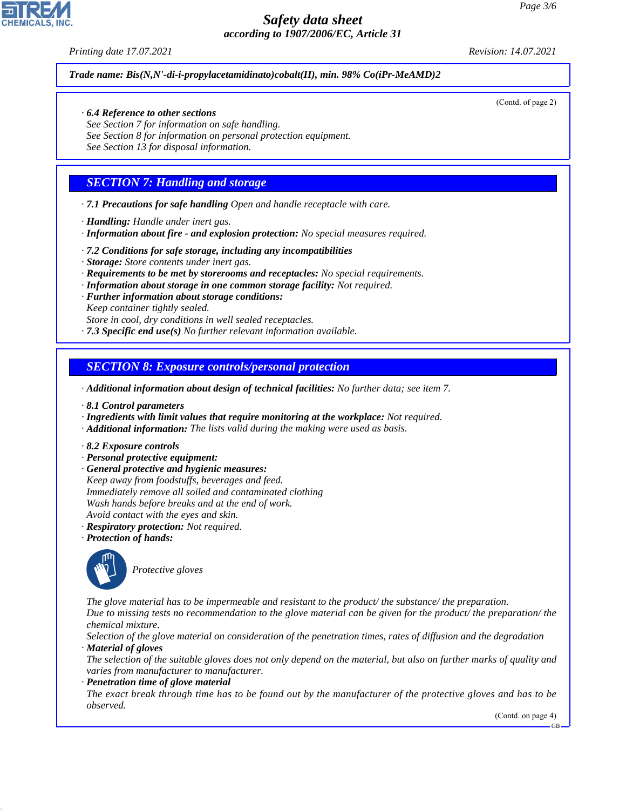*Printing date 17.07.2021 Revision: 14.07.2021*

*Trade name: Bis(N,N'-di-i-propylacetamidinato)cobalt(II), min. 98% Co(iPr-MeAMD)2*

#### *· 6.4 Reference to other sections*

*See Section 7 for information on safe handling. See Section 8 for information on personal protection equipment. See Section 13 for disposal information.*

## *SECTION 7: Handling and storage*

*· 7.1 Precautions for safe handling Open and handle receptacle with care.*

*· Handling: Handle under inert gas.*

*· Information about fire - and explosion protection: No special measures required.*

*· 7.2 Conditions for safe storage, including any incompatibilities*

*· Storage: Store contents under inert gas.*

*· Requirements to be met by storerooms and receptacles: No special requirements.*

*· Information about storage in one common storage facility: Not required.*

*· Further information about storage conditions:*

*Keep container tightly sealed.*

*Store in cool, dry conditions in well sealed receptacles.*

*· 7.3 Specific end use(s) No further relevant information available.*

*SECTION 8: Exposure controls/personal protection*

*· Additional information about design of technical facilities: No further data; see item 7.*

- *· 8.1 Control parameters*
- *· Ingredients with limit values that require monitoring at the workplace: Not required.*
- *· Additional information: The lists valid during the making were used as basis.*
- *· 8.2 Exposure controls*
- *· Personal protective equipment:*
- *· General protective and hygienic measures:*
- *Keep away from foodstuffs, beverages and feed. Immediately remove all soiled and contaminated clothing Wash hands before breaks and at the end of work.*
- *Avoid contact with the eyes and skin.*
- *· Respiratory protection: Not required.*
- *· Protection of hands:*



\_S*Protective gloves*

*The glove material has to be impermeable and resistant to the product/ the substance/ the preparation. Due to missing tests no recommendation to the glove material can be given for the product/ the preparation/ the*

*chemical mixture.*

44.1.1

*Selection of the glove material on consideration of the penetration times, rates of diffusion and the degradation · Material of gloves*

*The selection of the suitable gloves does not only depend on the material, but also on further marks of quality and varies from manufacturer to manufacturer.*

*· Penetration time of glove material*

*The exact break through time has to be found out by the manufacturer of the protective gloves and has to be observed.*

(Contd. on page 4)



(Contd. of page 2)

GB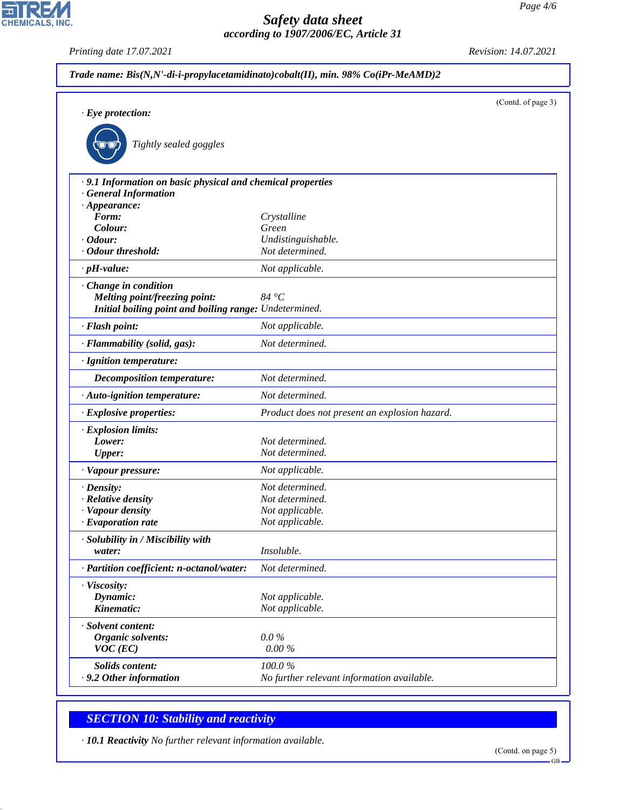*Printing date 17.07.2021 Revision: 14.07.2021*

CHEMICALS, INC.

| Trade name: Bis(N,N'-di-i-propylacetamidinato)cobalt(II), min. 98% Co(iPr-MeAMD)2         |                                               |                    |
|-------------------------------------------------------------------------------------------|-----------------------------------------------|--------------------|
| $\cdot$ Eye protection:                                                                   |                                               | (Contd. of page 3) |
| Tightly sealed goggles                                                                    |                                               |                    |
| .9.1 Information on basic physical and chemical properties<br>$\cdot$ General Information |                                               |                    |
| $\cdot$ Appearance:                                                                       |                                               |                    |
| Form:                                                                                     | Crystalline                                   |                    |
| Colour:                                                                                   | Green                                         |                    |
| $\cdot$ Odour:                                                                            | Undistinguishable.                            |                    |
| · Odour threshold:                                                                        | Not determined.                               |                    |
| $\cdot$ pH-value:                                                                         | Not applicable.                               |                    |
| · Change in condition                                                                     |                                               |                    |
| Melting point/freezing point:                                                             | 84 °C                                         |                    |
| Initial boiling point and boiling range: Undetermined.                                    |                                               |                    |
| · Flash point:                                                                            | Not applicable.                               |                    |
| · Flammability (solid, gas):                                                              | Not determined.                               |                    |
| · Ignition temperature:                                                                   |                                               |                    |
| Decomposition temperature:                                                                | Not determined.                               |                    |
| · Auto-ignition temperature:                                                              | Not determined.                               |                    |
| · Explosive properties:                                                                   | Product does not present an explosion hazard. |                    |
| · Explosion limits:                                                                       |                                               |                    |
| Lower:                                                                                    | Not determined.                               |                    |
| <b>Upper:</b>                                                                             | Not determined.                               |                    |
| · Vapour pressure:                                                                        | Not applicable.                               |                    |
| $\cdot$ Density:                                                                          | Not determined.                               |                    |
| · Relative density                                                                        | Not determined.                               |                    |
| · Vapour density                                                                          | Not applicable.                               |                    |
| $\cdot$ Evaporation rate                                                                  | Not applicable.                               |                    |
| · Solubility in / Miscibility with                                                        |                                               |                    |
| water:                                                                                    | Insoluble.                                    |                    |
| · Partition coefficient: n-octanol/water:                                                 | Not determined.                               |                    |
| · Viscosity:                                                                              |                                               |                    |
| Dynamic:                                                                                  | Not applicable.                               |                    |
| Kinematic:                                                                                | Not applicable.                               |                    |
| · Solvent content:                                                                        |                                               |                    |
| Organic solvents:                                                                         | $0.0\%$                                       |                    |
| $VOC$ (EC)                                                                                | $0.00\%$                                      |                    |
|                                                                                           |                                               |                    |
| <b>Solids content:</b>                                                                    | 100.0%                                        |                    |
| .9.2 Other information                                                                    | No further relevant information available.    |                    |

# *SECTION 10: Stability and reactivity*

44.1.1

*· 10.1 Reactivity No further relevant information available.*

GB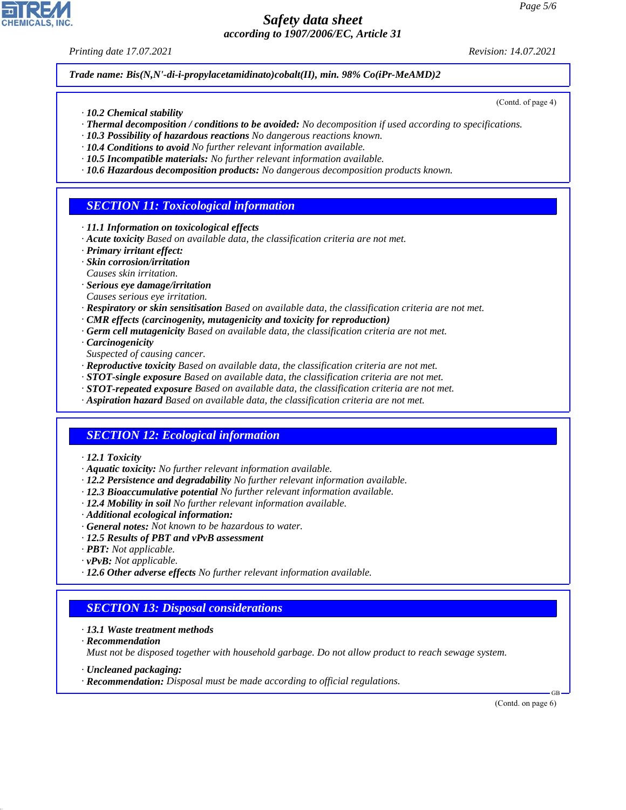*Printing date 17.07.2021 Revision: 14.07.2021*

*Trade name: Bis(N,N'-di-i-propylacetamidinato)cobalt(II), min. 98% Co(iPr-MeAMD)2*

- *· 10.2 Chemical stability*
- *· Thermal decomposition / conditions to be avoided: No decomposition if used according to specifications.*
- *· 10.3 Possibility of hazardous reactions No dangerous reactions known.*
- *· 10.4 Conditions to avoid No further relevant information available.*
- *· 10.5 Incompatible materials: No further relevant information available.*
- *· 10.6 Hazardous decomposition products: No dangerous decomposition products known.*

#### *SECTION 11: Toxicological information*

- *· 11.1 Information on toxicological effects*
- *· Acute toxicity Based on available data, the classification criteria are not met.*
- *· Primary irritant effect:*
- *· Skin corrosion/irritation*
- *Causes skin irritation.*
- *· Serious eye damage/irritation*
- *Causes serious eye irritation.*
- *· Respiratory or skin sensitisation Based on available data, the classification criteria are not met.*
- *· CMR effects (carcinogenity, mutagenicity and toxicity for reproduction)*
- *· Germ cell mutagenicity Based on available data, the classification criteria are not met.*
- *· Carcinogenicity*
- *Suspected of causing cancer.*
- *· Reproductive toxicity Based on available data, the classification criteria are not met.*
- *· STOT-single exposure Based on available data, the classification criteria are not met.*
- *· STOT-repeated exposure Based on available data, the classification criteria are not met.*
- *· Aspiration hazard Based on available data, the classification criteria are not met.*

## *SECTION 12: Ecological information*

- *· 12.1 Toxicity*
- *· Aquatic toxicity: No further relevant information available.*
- *· 12.2 Persistence and degradability No further relevant information available.*
- *· 12.3 Bioaccumulative potential No further relevant information available.*
- *· 12.4 Mobility in soil No further relevant information available.*
- *· Additional ecological information:*
- *· General notes: Not known to be hazardous to water.*
- *· 12.5 Results of PBT and vPvB assessment*
- *· PBT: Not applicable.*
- *· vPvB: Not applicable.*
- *· 12.6 Other adverse effects No further relevant information available.*

#### *SECTION 13: Disposal considerations*

- *· 13.1 Waste treatment methods*
- *· Recommendation*

44.1.1

*Must not be disposed together with household garbage. Do not allow product to reach sewage system.*

- *· Uncleaned packaging:*
- *· Recommendation: Disposal must be made according to official regulations.*

(Contd. on page 6)

GB